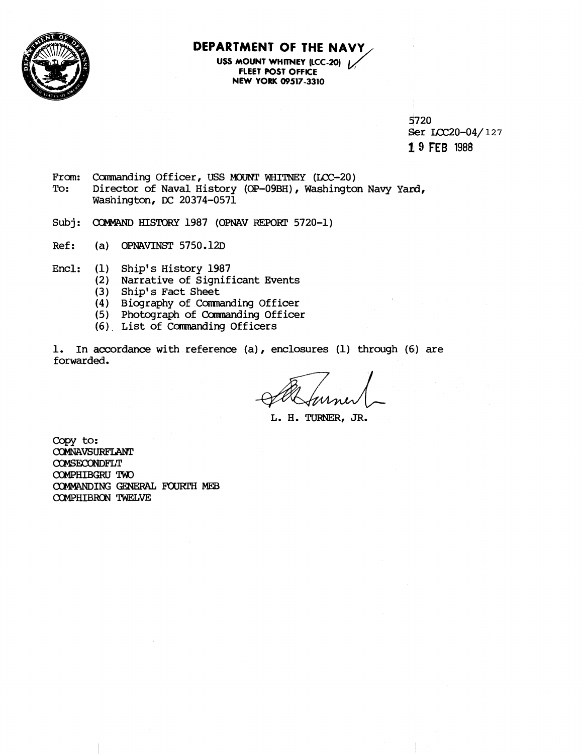

## **DEPARTMENT OF THE NAVY,**

**USS MOUNT WHITNEY (LCC-20)** 1/ **FLEET POST OFFICE NEW YORK 09517-3310** 

> 51720 Ser LCC20-04/127

**1 9 FEB <sup>1988</sup>**

- From: Commanding Officer, USS MOUNT WHITNEY (LCC-20)<br>To: Director of Naval History (OP-09BH), Washingto Director of Naval History (OP-09BH), Washington Navy Yard, Washington, **DC** 20374-0571
- Subj: COMMAND HISTORY 1987 (OPNAV REPORT 5720-1)
- Ref: (a) OPNAVINST 5750.12D
- Encl: (1) Ship's History 1987
	- (2) Narrative of Significant Events
	- (3) Ship's Fact Sheet
	- (4) Biography of Camnanding Officer
	- (5) Photograph of Commanding Officer
	- **46)** List of Camanding Officers

1. In accordance with reference **(a),** enclosures (1) through (6) are forwarded.

**L. H. TURNER, JR.** 

copy to: COMNAVSURFLANT COMSECONDFLT COMPHIBGRU TWO COMMANDING GENERAL FOURTH MEB COMPHIBRON TWELVE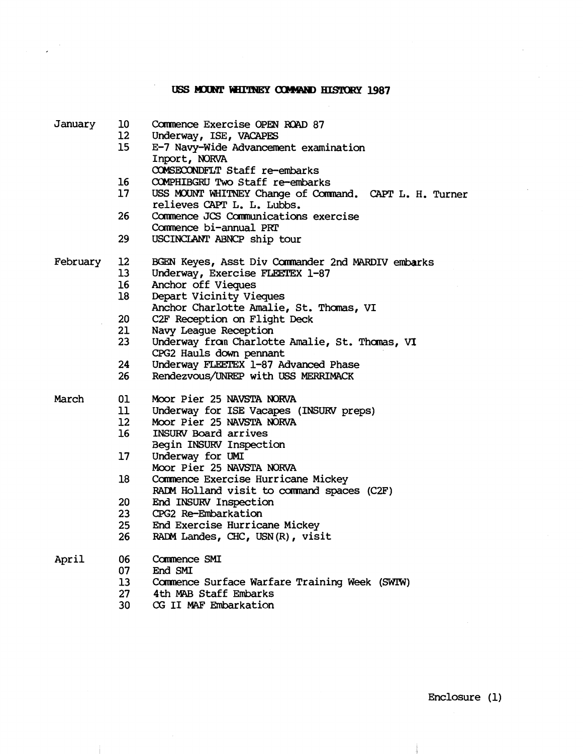## USS MOUNT WHITNEY COMMAND HISTORY 1987

 $\bar{\beta}$  $\overline{\phantom{a}}$ 

 $\ddot{\phantom{a}}$ 

| USS MOUNT WHITNEY Change of Command. CAPT L. H. Turner                             |
|------------------------------------------------------------------------------------|
|                                                                                    |
|                                                                                    |
|                                                                                    |
|                                                                                    |
| BGEN Keyes, Asst Div Commander 2nd MARDIV embarks                                  |
|                                                                                    |
|                                                                                    |
|                                                                                    |
|                                                                                    |
|                                                                                    |
|                                                                                    |
| Underway from Charlotte Amalie, St. Thomas, VI                                     |
|                                                                                    |
|                                                                                    |
|                                                                                    |
|                                                                                    |
|                                                                                    |
|                                                                                    |
|                                                                                    |
|                                                                                    |
|                                                                                    |
|                                                                                    |
| RADM Holland visit to command spaces (C2F)                                         |
|                                                                                    |
|                                                                                    |
|                                                                                    |
|                                                                                    |
|                                                                                    |
|                                                                                    |
|                                                                                    |
| Commence Surface Warfare Training Week (SWIW)                                      |
| Anchor Charlotte Amalie, St. Thomas, VI<br>Underway for ISE Vacapes (INSURV preps) |

**CG** I1 **MAF** Ehbarkation

 $\mathcal{A}^{\mathcal{A}}$ 

 $\ddot{\ddot{\phantom{1}}}$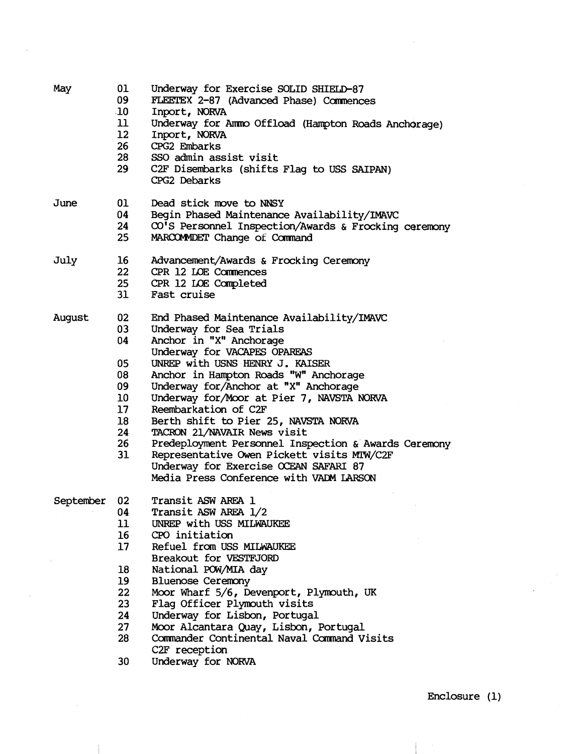| May       | 01<br>09<br>10 <sub>1</sub>        | Underway for Exercise SOLID SHIELD-87<br>FLEETEX 2-87 (Advanced Phase) Commences<br>Inport, NORVA   |
|-----------|------------------------------------|-----------------------------------------------------------------------------------------------------|
|           | 11<br>12 <sup>°</sup>              | Underway for Ammo Offload (Hampton Roads Anchorage)<br>Inport, NORVA                                |
|           | 26 <sup>2</sup>                    | CPG2 Embarks                                                                                        |
|           | 28<br>29                           | SSO admin assist visit<br>C2F Disembarks (shifts Flag to USS SAIPAN)                                |
|           |                                    | CPG2 Debarks                                                                                        |
| June      | 01                                 | Dead stick move to NNSY                                                                             |
|           | 04<br>24                           | Begin Phased Maintenance Availability/IMAVC<br>CO'S Personnel Inspection/Awards & Frocking ceremony |
|           | 25                                 | MARCOMMDET Change of Command                                                                        |
| July      | 16                                 | Advancement/Awards & Frocking Ceremony                                                              |
|           | 22<br>25 <sub>2</sub>              | CPR 12 LOE Commences                                                                                |
|           | 31                                 | CPR 12 LOE Completed<br>Fast cruise                                                                 |
|           |                                    |                                                                                                     |
| August    | 02<br>03                           | End Phased Maintenance Availability/IMAVC                                                           |
|           | 04                                 | Underway for Sea Trials<br>Anchor in "X" Anchorage                                                  |
|           |                                    | Underway for VACAPES OPAREAS                                                                        |
|           | 05                                 | UNREP with USNS HENRY J. KAISER                                                                     |
|           | 08                                 | Anchor in Hampton Roads "W" Anchorage                                                               |
|           | 09                                 | Underway for/Anchor at "X" Anchorage                                                                |
|           | 10 <sup>°</sup>                    | Underway for/Moor at Pier 7, NAVSTA NORVA                                                           |
|           | 17 <sup>2</sup><br>18 <sup>2</sup> | Reembarkation of C2F<br>Berth shift to Pier 25, NAVSTA NORVA                                        |
|           | 24                                 | TACRON 21/NAVAIR News visit                                                                         |
|           | 26                                 | Predeployment Personnel Inspection & Awards Ceremony                                                |
|           | 31                                 | Representative Owen Pickett visits MIW/C2F                                                          |
|           |                                    | Underway for Exercise OCEAN SAFARI 87                                                               |
|           |                                    | Media Press Conference with VADM LARSON                                                             |
| September | 02                                 | Transit ASW AREA 1                                                                                  |
|           | 04<br>11                           | Transit ASW AREA 1/2<br>UNREP with USS MILWAUKEE                                                    |
|           | 16                                 | CPO initiation                                                                                      |
|           | 17                                 | Refuel from USS MILWAUKEE                                                                           |
|           |                                    | Breakout for VESTFJORD                                                                              |
|           | 18                                 | National POW/MIA day                                                                                |
|           | 19                                 | <b>Bluenose Ceremony</b>                                                                            |
|           | 22<br>23                           | Moor Wharf 5/6, Devenport, Plymouth, UK<br>Flag Officer Plymouth visits                             |
|           | 24                                 | Underway for Lisbon, Portugal                                                                       |
|           | 27                                 | Moor Alcantara Quay, Lisbon, Portugal                                                               |
|           | 28                                 | Commander Continental Naval Command Visits                                                          |
|           |                                    | C <sub>2F</sub> reception                                                                           |
|           | חכ                                 | $T_{\text{m}}$ $\lambda$                                                                            |

30 Underway for NORVA

Enclosure (1)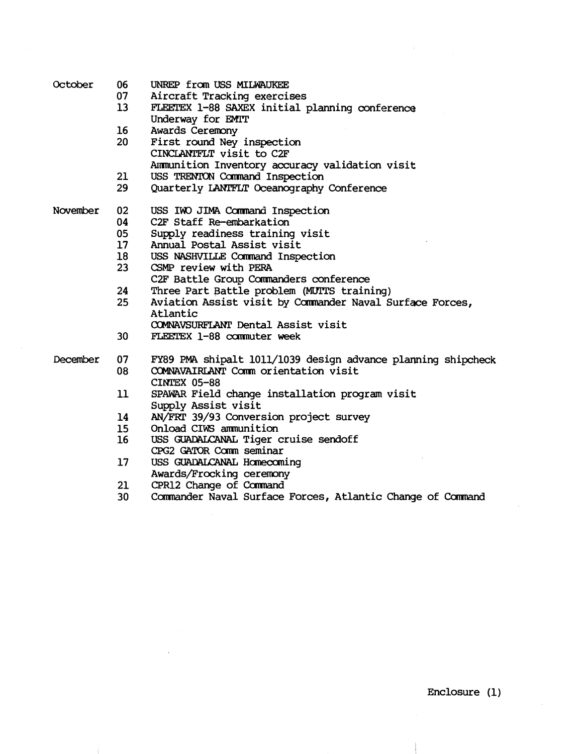| October  | 06<br>07<br>13 <sup>2</sup> | UNREP from USS MILWAUKEE<br>Aircraft Tracking exercises<br>FLEETEX 1-88 SAXEX initial planning conference<br>Underway for EMIT |
|----------|-----------------------------|--------------------------------------------------------------------------------------------------------------------------------|
|          | 16<br>20                    | Awards Ceremony<br>First round Ney inspection                                                                                  |
|          |                             | CINCLANTFLT visit to C2F<br>Ammunition Inventory accuracy validation visit                                                     |
|          | 21                          | USS TRENTON Command Inspection                                                                                                 |
|          | 29                          | Quarterly LANTFLT Oceanography Conference                                                                                      |
| November | 02                          | USS IWO JIMA Command Inspection                                                                                                |
|          | 04                          | C2F Staff Re-embarkation                                                                                                       |
|          | 05                          | Supply readiness training visit                                                                                                |
|          | 17 <sup>2</sup>             | Annual Postal Assist visit                                                                                                     |
|          | 18                          | USS NASHVILLE Command Inspection                                                                                               |
|          | 23 <sup>°</sup>             | CSMP review with PERA                                                                                                          |
|          |                             | C2F Battle Group Commanders conference                                                                                         |
|          | 24                          | Three Part Battle problem (MUITS training)                                                                                     |
|          | 25 <sub>2</sub>             | Aviation Assist visit by Commander Naval Surface Forces,<br>Atlantic                                                           |
|          |                             | COMNAVSURFLANT Dental Assist visit                                                                                             |
|          | 30 <sub>2</sub>             | FLEETEX 1-88 commuter week                                                                                                     |
| December | 07                          | FY89 PMA shipalt 1011/1039 design advance planning shipcheck                                                                   |
|          | 08                          | COMNAVAIRLANT Comm orientation visit<br><b>CINTEX 05-88</b>                                                                    |
|          | 11                          | SPAWAR Field change installation program visit<br>Supply Assist visit                                                          |
|          | 14                          | AN/FRT 39/93 Conversion project survey                                                                                         |
|          | 15 <sub>1</sub>             | Onload CIWS ammunition                                                                                                         |
|          | 16 <sup>2</sup>             | USS GUADALCANAL Tiger cruise sendoff                                                                                           |
|          |                             | CPG2 GATOR Comm seminar                                                                                                        |
|          | 17                          | USS GUADALCANAL Homecoming                                                                                                     |
|          |                             | Awards/Frocking ceremony                                                                                                       |
|          | 21                          | CPR12 Change of Command                                                                                                        |
|          | 30                          | Commander Naval Surface Forces, Atlantic Change of Command                                                                     |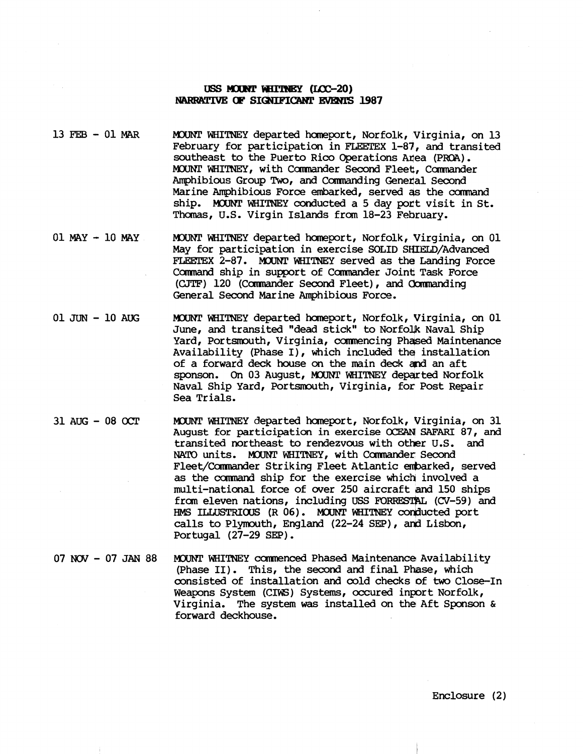## USS MOUNT WHITNEY (I.CC-20) NARRATIVE OF SIGNIFICANT EVENTS 1987

- 13 FEB 01 MAR MOUNT WHITNEY departed homeport, Norfolk, Virginia, on 13 February for participation in **FLEETEX** 1-83, and transited southeast to the Puerto Rico Operations Area (PROA). MOUNT WHITNEY, with Commander Second Fleet, Commander Amphibious Group Two, and Commanding Generial Second Marine Amphibious Force embarked, served as the command ship. MOUNT WHITNEY conducted a 5 day port visit in St. Thomas, U.S. Virgin Islands from 18-23 February.
- 01 MAY 10 MAY MOUNT WHITNEY departed homeport, Norfolk, Virginia, on 01 May for participation in exercise SOLID SHIELD/Advanced **FLEETEX** 2-87. MQUNT WHITNEY served as the Landing Force **Conmad** ship in support of Comnander Joint Task Force (CJTF) 120 (Commander Second Fleet), and Commanding General Second Marine Amphibious Force.
- 01 JUN <sup>10</sup>**AUG** M3IMT WHITNEX departed hawport, Norfolk, Virginia, on 01 June, and transited "dead stick" to Norfolik Naval Ship Yard, Portsmouth, Virginia, commencing Phased Maintenance Availability (Phase I), which included the installation of a forward deck house on the main deck and an aft sponson. On 03 August, MOUNT WHITNEY departed Norfolk Naval Ship Yard, Portsmouth, Virginia, for Post Repair Sea Trials.
- 31 AUG 08 OCT MOUNT WHITNEY departed homeport, Norfolk, Virginia, on 31 August for participation in exercise OCEAN SAFARI 87, and transited northeast to rendezvous with other U.S. and NATO units. MOUNT WHITNEY, with Commander Second Fleet/Commander Striking Fleet Atlantic embarked, served as the carmand ship for the exercise which involved a multi-national force of wer 250 aircraft **and** 150 ships from eleven nations, including USS FORRESTAL (CV-59) and HMS ILLUSTRIOUS (R 06). MOUNT WHITNEY conducted port HMS ILLUSTRIOUS (R 06). MOUNT WHITNEY conducted port calls to Plymouth, England (22-24 SEP), and Lisbon, Portugal (27-29 SEP).
- 07 NOV 07 JAN 88 MOUNT WHITNEY commenced Phased Maintenance Availability (Phase II). This, the second and final Phase, which consisted of installation and cold checks of **two** Close-In Weapons System (CIWS) Systems, occured inport Norfolk, Virginia. The system was installed on the Aft Sponson & forward deckhouse.

Enclosure (2)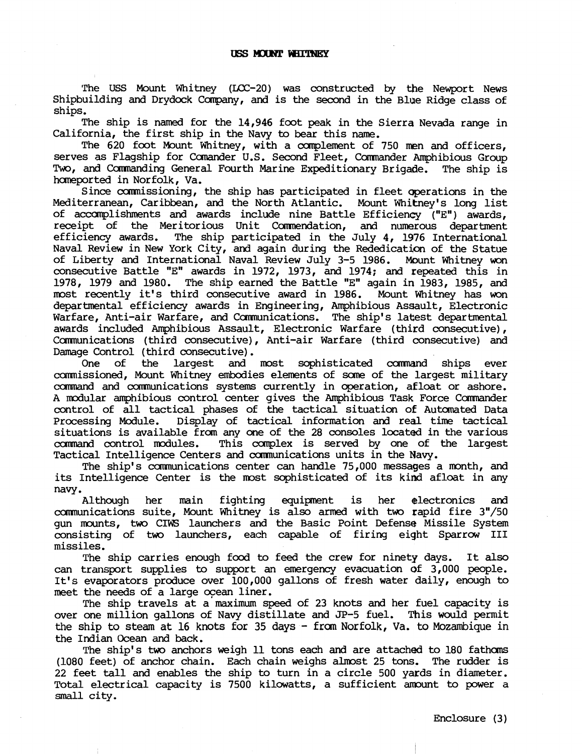The USS Mount Whitney (LCC-20) was constructed by the Newport News Shipbuilding and Drydock Company, and is the second in the Blue Ridge class of ships.

The ship is named for the 14,946 foot peak in the Sierra Nevada range in California, the first ship in the Navy to bear this name.

The 620 foot Mount Whitney, with a complement of 750 men and officers, serves as Flagship for Canander U.S. Second Fleet, Commander Amphibious Group Two, and Camnanding General Fourth Marine Expeditionary Brigade. The ship is homeported in Norfolk, Va.

Since commissioning, the ship has participated in fleet qperations in the Mediterranean, Caribbean, and the North Atlantic. Mount Whikney's long list of accomplishments and awards include nine Battle Efficiency ("E") awards, receipt of the Meritorious Unit Commendation, and numerous department<br>efficiency awards. The ship participated in the July 4, 1976 International The ship participated in the July  $4$ , 1976 International Naval Review in New York City, and again during the Rededication of the Statue of Liberty and International Naval Review July 3-5 1986. Mount Whitney **won**  consecutive Battle "E" awards in 1972, 1973, and 1974; and repeated this in 1978, 1979 and 1980. The ship earned the Battle "E" again in 1983, 1985, and most recently it's third consecutive award in 1986. Mount Whitney has won most recently it's third consecutive award in 1986. departmental efficiency awards in Engineering, Anphibious Assault, Electronic Warfare, Anti-air Warfare, and Communications. The ship's latest departmental awards included Amphibious Assault, Electronic Warfare (third consecutive), Cmunications (third consecutive), Anti-air Warfare (third consecutive) and Damage Control (third consecutive).<br>One of the largest and

One of the largest and most sophisticated command ships ever camnissioned, Mount Whitney embcdies elements of some of the largest military ccarnrand and cannunications systems currently in operation, afloat or ashore. A modular amphibious control center gives the Amphibious Task Force Commander control of all tactical phases of the tactical situation of Autamated Data Processing Module. Display of tactical information and real time tactical situations is available from any one of the 28 consoles located in the various command control modules. This complex is served by one of the largest This complex is served by one of the largest Tactical Intelligence Centers and carmunications units in the Navy.

The ship's communications center can handle 75,000 messages a month, and its Intelligence Center is the most sophisticated of its kind afloat in any

navy.<br>Although her main fighting equipment is her electronics and communications suite, Mount Whitney is also armed with two rapid fire 3"/50 gun mounts, two CIWS launchers and the Basic Point Defense Missile System consisting of two launchers, each capable of firing eight Sparrow I11 missiles.

The ship carries enough food to feed the crew for ninety days. It also can transport supplies to support **an** emergency evacuation of 3,000 people. It's evaporators produce over 100,000 gallons of fresh water daily, enough to meet the needs of a large ocean liner.

The ship travels at a maximum speed of 23 knots and her fuel capacity is over one million gallons of Navy distillate and JP-5 fuel. This would permit the ship to steam at 16 knots for 35 days - from Norfolk, Va. to Mozambique in the Indian Ocean and back.

The ship's two anchors weigh 11 tons each and are attached to 180 fathoms (1080 feet) of anchor chain. Each chain weighs almost 25 tons. The rudder is 22 feet tall and enables the ship **to** turn in a circle 500 yards in diameter. Total electrical capacity is 7500 kilowatts, a sufficient amount to power a small city.